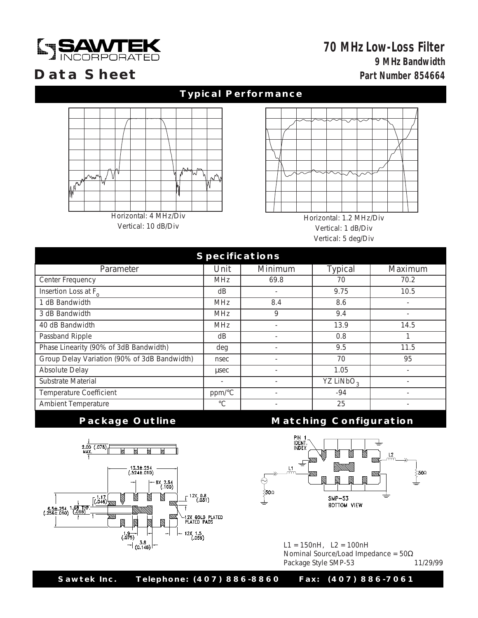

## **9 MHz Bandwidth Part Number 854664 70 MHz Low-Loss Filter**

## **Data Sheet**

### **Typical Performance**



Vertical: 10 dB/Div

Horizontal: 1.2 MHz/Div Vertical: 1 dB/Div Vertical: 5 deg/Div

| <b>Specifications</b>                        |                          |                          |                       |                          |
|----------------------------------------------|--------------------------|--------------------------|-----------------------|--------------------------|
| Parameter                                    | Unit                     | Minimum                  | Typical               | Maximum                  |
| Center Frequency                             | <b>MHz</b>               | 69.8                     | 70                    | 70.2                     |
| Insertion Loss at F <sub>o</sub>             | dB                       | $\overline{\phantom{a}}$ | 9.75                  | 10.5                     |
| 1 dB Bandwidth                               | <b>MHz</b>               | 8.4                      | 8.6                   | $\overline{\phantom{a}}$ |
| 3 dB Bandwidth                               | <b>MHz</b>               | 9                        | 9.4                   |                          |
| 40 dB Bandwidth                              | <b>MHz</b>               | $\overline{\phantom{a}}$ | 13.9                  | 14.5                     |
| Passband Ripple                              | dB                       |                          | 0.8                   |                          |
| Phase Linearity (90% of 3dB Bandwidth)       | deg                      |                          | 9.5                   | 11.5                     |
| Group Delay Variation (90% of 3dB Bandwidth) | nsec                     |                          | 70                    | 95                       |
| Absolute Delay                               | usec                     |                          | 1.05                  |                          |
| Substrate Material                           | $\overline{\phantom{a}}$ |                          | YZ LiNbO <sub>3</sub> |                          |
| <b>Temperature Coefficient</b>               | ppm/°C                   |                          | $-94$                 |                          |
| Ambient Temperature                          | $^{\circ}C$              |                          | 25                    |                          |



### **Package Outline Configuration**



L1 = 150nH, L2 = 100nH Nominal Source/Load Impedance = 50Ω<br>Package Style SMP-53 11/29/99 Package Style SMP-53